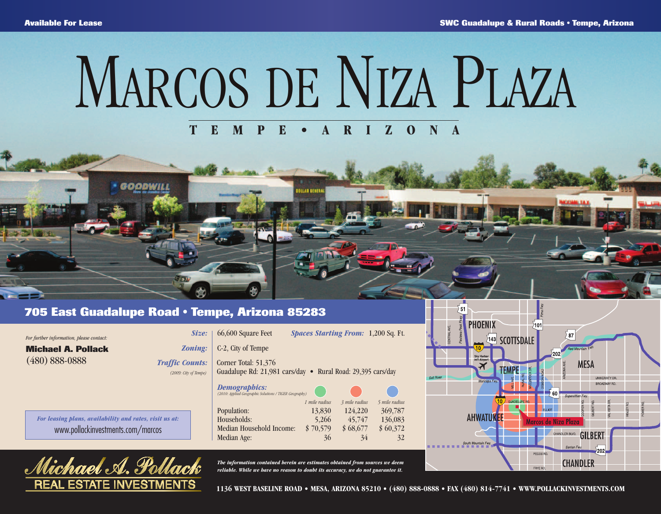**ERVERD** 

## **TEMPE• ARIZONA** MARCOS DE NIZA PLAZA

**JLLAN SENE** 

## **705 East Guadalupe Road • Tempe, Arizona 85283**

S

**SOODWILL** 

rael. A. I

|                                                                                              | The information contained herein are estimates obtained from sources we deem                                                                                                                                                                 | PECOS RD.<br><b>CHANDLER</b>                                                                                               |
|----------------------------------------------------------------------------------------------|----------------------------------------------------------------------------------------------------------------------------------------------------------------------------------------------------------------------------------------------|----------------------------------------------------------------------------------------------------------------------------|
| For leasing plans, availability and rates, visit us at:<br>www.pollackinvestments.com/marcos | 1 mile radius<br>5 mile radius<br>3 mile radius<br>369,787<br>Population:<br>13,830<br>124,220<br>45,747<br>136,083<br>Households:<br>5,266<br>Median Household Income:<br>\$60,372<br>\$70,579<br>\$68,677<br>Median Age:<br>36<br>34<br>32 | <b>AHWATUKEE</b><br>arcos de Niza Plaza<br>GILBERT<br>CHANDLER BLVD,<br>South Mountain Fwy.<br>Santan Fwy.<br>$\sqrt{202}$ |
|                                                                                              | <b>Demographics:</b><br>(2010: Applied Geographic Solutions / TIGER Geography)                                                                                                                                                               | Salt River<br>UNIVERSITY DR.<br>Maricopa Fwy.<br>BROADWAY RD,<br>60<br>Superstition Fwy.                                   |
| $(480) 888 - 0888$<br><b>Traffic Counts:</b><br>(2009: City of Tempe)                        | Corner Total: 51,376<br>Guadalupe Rd: 21,981 cars/day • Rural Road: 29,395 cars/day                                                                                                                                                          | Sky Harbor<br>Int'l Airport<br><b>MESA</b><br><b>TEMPE</b>                                                                 |
| <b>Michael A. Pollack</b><br><b>Zoning:</b>                                                  | C-2, City of Tempe                                                                                                                                                                                                                           | 143 SCOTTSDALE                                                                                                             |
| <i>Size:</i><br>For further information, please contact:                                     | 66,600 Square Feet<br><b>Spaces Starting From: 1,200 Sq. Ft.</b>                                                                                                                                                                             | $\blacksquare$ $\blacksquare$ $\blacksquare$<br>$\lambda$ 87 $'$                                                           |



**1136 WEST BASELINE ROAD • MESA, ARIZONA 85210 • (480) 888-0888 • FAX (480) 814-7741 • WWW.POLLACKINVESTMENTS.COM**

 $\sqrt{51}$